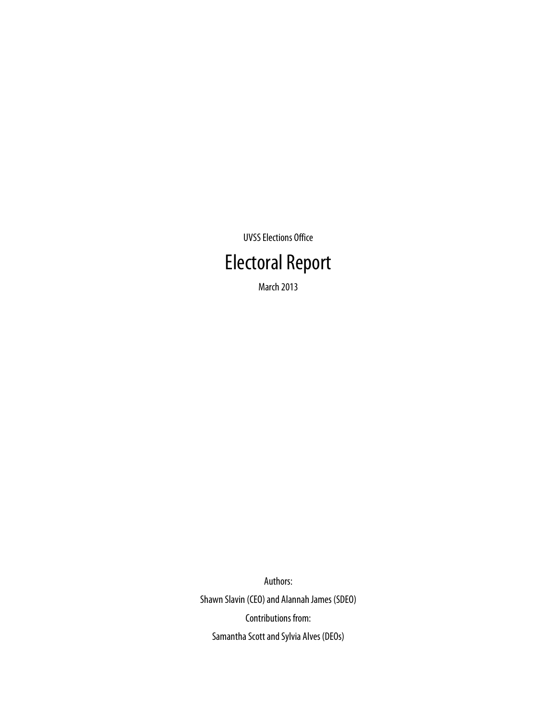UVSS Elections Office

## Electoral Report

March 2013

Authors: Shawn Slavin (CEO) and Alannah James (SDEO) Contributions from: Samantha Scott and Sylvia Alves (DEOs)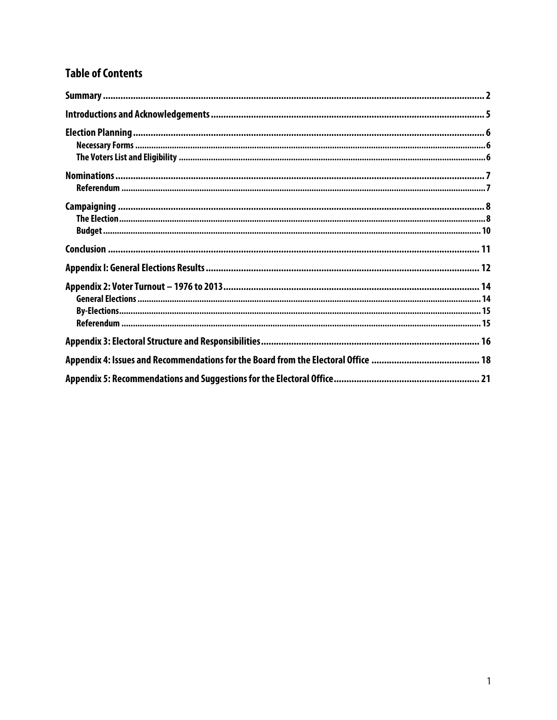## **Table of Contents**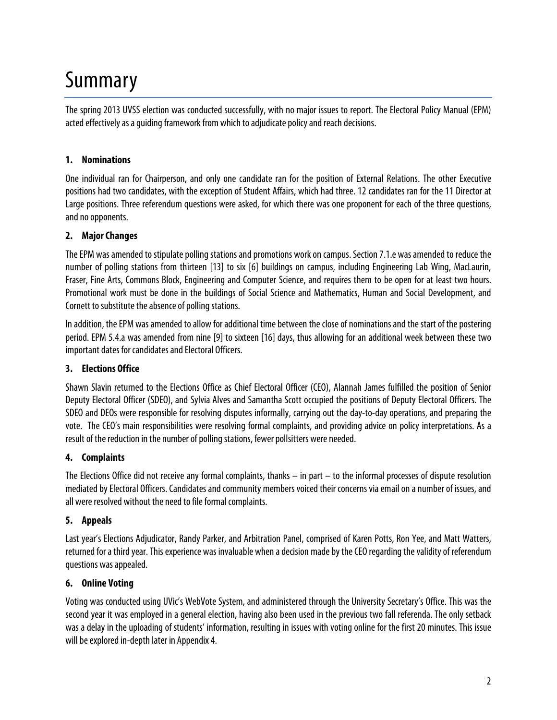## Summary

The spring 2013 UVSS election was conducted successfully, with no major issues to report. The Electoral Policy Manual (EPM) acted effectively as a guiding framework from which to adjudicate policy and reach decisions.

### **1. Nominations**

One individual ran for Chairperson, and only one candidate ran for the position of External Relations. The other Executive positions had two candidates, with the exception of Student Affairs, which had three. 12 candidates ran for the 11 Director at Large positions. Three referendum questions were asked, for which there was one proponent for each of the three questions, and no opponents.

#### **2. Major Changes**

The EPM was amended to stipulate polling stations and promotions work on campus. Section 7.1.e was amended to reduce the number of polling stations from thirteen [13] to six [6] buildings on campus, including Engineering Lab Wing, MacLaurin, Fraser, Fine Arts, Commons Block, Engineering and Computer Science, and requires them to be open for at least two hours. Promotional work must be done in the buildings of Social Science and Mathematics, Human and Social Development, and Cornett to substitute the absence of polling stations.

In addition, the EPM was amended to allow for additional time between the close of nominations and the start of the postering period. EPM 5.4.a was amended from nine [9] to sixteen [16] days, thus allowing for an additional week between these two important dates for candidates and Electoral Officers.

#### **3. Elections Office**

Shawn Slavin returned to the Elections Office as Chief Electoral Officer (CEO), Alannah James fulfilled the position of Senior Deputy Electoral Officer (SDEO), and Sylvia Alves and Samantha Scott occupied the positions of Deputy Electoral Officers. The SDEO and DEOs were responsible for resolving disputes informally, carrying out the day-to-day operations, and preparing the vote. The CEO's main responsibilities were resolving formal complaints, and providing advice on policy interpretations. As a result of the reduction in the number of polling stations, fewer pollsitters were needed.

#### **4. Complaints**

The Elections Office did not receive any formal complaints, thanks – in part – to the informal processes of dispute resolution mediated by Electoral Officers. Candidates and community members voiced their concerns via email on a number of issues, and all were resolved without the need to file formal complaints.

#### **5. Appeals**

Last year's Elections Adjudicator, Randy Parker, and Arbitration Panel, comprised of Karen Potts, Ron Yee, and Matt Watters, returned for a third year. This experience was invaluable when a decision made by the CEO regarding the validity of referendum questions was appealed.

#### **6. Online Voting**

Voting was conducted using UVic's WebVote System, and administered through the University Secretary's Office. This was the second year it was employed in a general election, having also been used in the previous two fall referenda. The only setback was a delay in the uploading of students' information, resulting in issues with voting online for the first 20 minutes. This issue will be explored in-depth later in Appendix 4.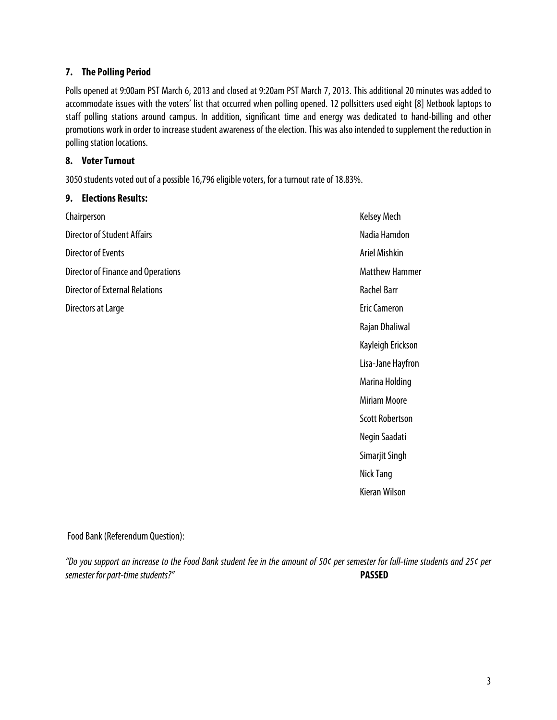#### **7. The Polling Period**

Polls opened at 9:00am PST March 6, 2013 and closed at 9:20am PST March 7, 2013. This additional 20 minutes was added to accommodate issues with the voters' list that occurred when polling opened. 12 pollsitters used eight [8] Netbook laptops to staff polling stations around campus. In addition, significant time and energy was dedicated to hand-billing and other promotions work in order to increase student awareness of the election. This was also intended to supplement the reduction in polling station locations.

#### **8. Voter Turnout**

3050 students voted out of a possible 16,796 eligible voters, for a turnout rate of 18.83%.

#### **9. Elections Results:**

Chairperson Director of Student Affairs Director of Events Director of Finance and Operations Director of External Relations Directors at Large **Existence** Eric Cameron

Kelsey Mech Nadia Hamdon Ariel Mishkin Matthew Hammer Rachel Barr Rajan Dhaliwal Kayleigh Erickson Lisa-Jane Hayfron Marina Holding Miriam Moore Scott Robertson Negin Saadati Simarjit Singh Nick Tang Kieran Wilson

#### Food Bank(Referendum Question):

*"Do you support an increase to the Food Bank student fee in the amount of 50¢ per semester for full-time students and 25¢ per semester for part-time students?"* **PASSED**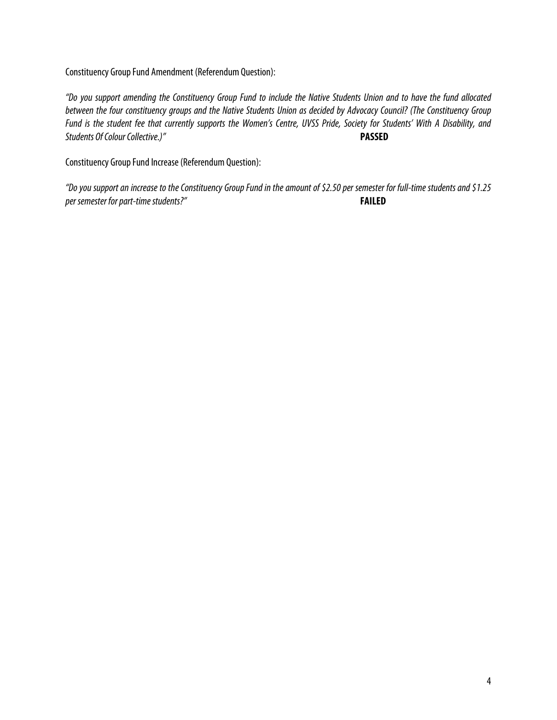Constituency Group Fund Amendment (Referendum Question):

*"Do you support amending the Constituency Group Fund to include the Native Students Union and to have the fund allocated between the four constituency groups and the Native Students Union as decided by Advocacy Council? (The Constituency Group Fund is the student fee that currently supports the Women's Centre, UVSS Pride, Society for Students' With A Disability, and Students Of Colour Collective.)"* **PASSED**

Constituency Group Fund Increase(Referendum Question):

*"Do you support an increase to the Constituency Group Fund in the amount of \$2.50 per semester for full-time students and \$1.25 per semester for part-time students?"* **FAILED**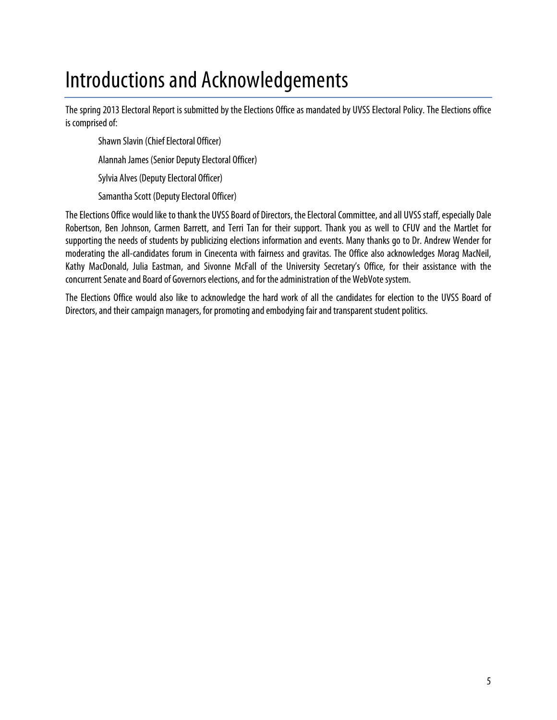## Introductions and Acknowledgements

The spring 2013 Electoral Report is submitted by the Elections Office as mandated by UVSS Electoral Policy. The Elections office is comprised of:

Shawn Slavin (Chief Electoral Officer) Alannah James (Senior Deputy Electoral Officer) Sylvia Alves (Deputy Electoral Officer)

Samantha Scott (Deputy Electoral Officer)

The Elections Office would like to thank the UVSS Board of Directors, the Electoral Committee, and all UVSS staff, especially Dale Robertson, Ben Johnson, Carmen Barrett, and Terri Tan for their support. Thank you as well to CFUV and the Martlet for supporting the needs of students by publicizing elections information and events. Many thanks go to Dr. Andrew Wender for moderating the all-candidates forum in Cinecenta with fairness and gravitas. The Office also acknowledges Morag MacNeil, Kathy MacDonald, Julia Eastman, and Sivonne McFall of the University Secretary's Office, for their assistance with the concurrent Senate and Board of Governors elections, and for the administration of the WebVote system.

The Elections Office would also like to acknowledge the hard work of all the candidates for election to the UVSS Board of Directors, and their campaign managers, for promoting and embodying fair and transparent student politics.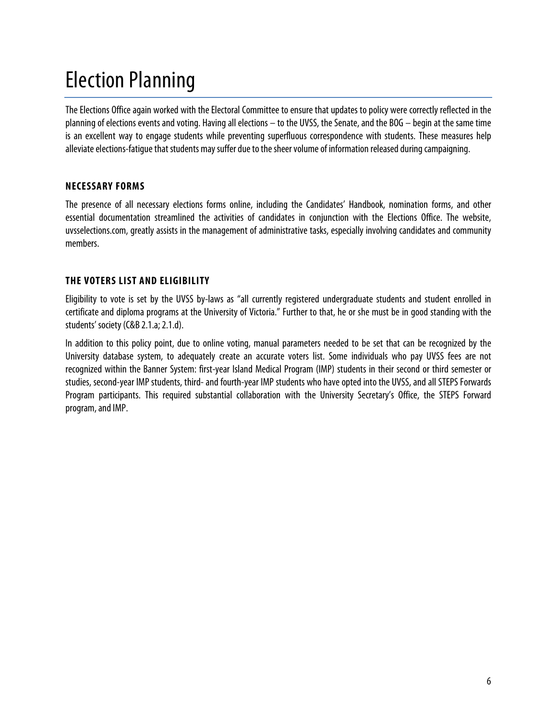## Election Planning

The Elections Office again worked with the Electoral Committee to ensure that updates to policy were correctly reflected in the planning of elections events and voting. Having all elections – to the UVSS, the Senate, and the BOG – begin at the same time is an excellent way to engage students while preventing superfluous correspondence with students. These measures help alleviate elections-fatigue that students may suffer due to the sheer volume of information released during campaigning.

## **NECESSARY FORMS**

The presence of all necessary elections forms online, including the Candidates' Handbook, nomination forms, and other essential documentation streamlined the activities of candidates in conjunction with the Elections Office. The website, uvsselections.com, greatly assists in the management of administrative tasks, especially involving candidates and community members.

### **THE VOTERS LIST AND ELIGIBILITY**

Eligibility to vote is set by the UVSS by-laws as "all currently registered undergraduate students and student enrolled in certificate and diploma programs at the University of Victoria." Further to that, he or she must be in good standing with the students' society(C&B 2.1.a; 2.1.d).

In addition to this policy point, due to online voting, manual parameters needed to be set that can be recognized by the University database system, to adequately create an accurate voters list. Some individuals who pay UVSS fees are not recognized within the Banner System: first-year Island Medical Program (IMP) students in their second or third semester or studies, second-year IMP students, third-and fourth-year IMP students who have opted into the UVSS, and all STEPS Forwards Program participants. This required substantial collaboration with the University Secretary's Office, the STEPS Forward program, and IMP.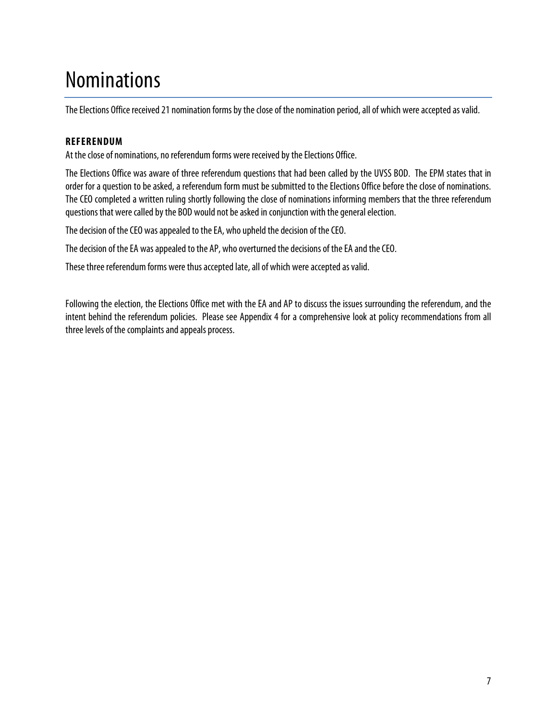## Nominations

The Elections Office received 21 nomination forms by the close of the nomination period, all of which were accepted as valid.

### **REFERENDUM**

At the close of nominations, no referendum forms were received by the Elections Office.

The Elections Office was aware of three referendum questions that had been called by the UVSS BOD. The EPM states that in order for a question to be asked, a referendum form must be submitted to the Elections Office before the close of nominations. The CEO completed a written ruling shortly following the close of nominations informing members that the three referendum questions that were called by the BOD would not be asked in conjunction with the general election.

The decision of the CEO was appealed to the EA, who upheld the decision of the CEO.

The decision of the EA was appealed to the AP, who overturned the decisions of the EA and the CEO.

These three referendum forms were thus accepted late, all of which were accepted as valid.

Following the election, the Elections Office met with the EA and AP to discuss the issues surrounding the referendum, and the intent behind the referendum policies. Please see Appendix 4 for a comprehensive look at policy recommendations from all three levels of the complaints and appeals process.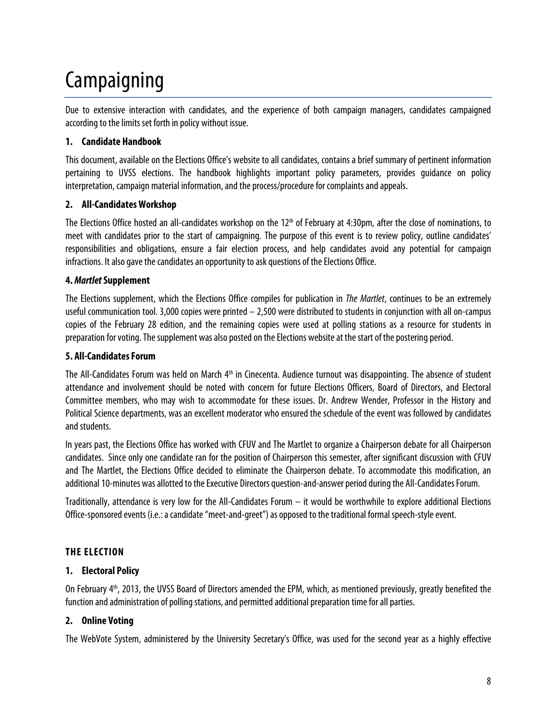# Campaigning

Due to extensive interaction with candidates, and the experience of both campaign managers, candidates campaigned according to the limits set forth in policy without issue.

### **1. Candidate Handbook**

This document, available on the Elections Office's website to all candidates, contains a brief summary of pertinent information pertaining to UVSS elections. The handbook highlights important policy parameters, provides guidance on policy interpretation, campaign material information, and the process/procedure for complaints and appeals.

### **2. All-Candidates Workshop**

The Elections Office hosted an all-candidates workshop on the 12<sup>th</sup> of February at 4:30pm, after the close of nominations, to meet with candidates prior to the start of campaigning. The purpose of this event is to review policy, outline candidates' responsibilities and obligations, ensure a fair election process, and help candidates avoid any potential for campaign infractions. It also gave the candidates an opportunity to ask questions of the Elections Office.

#### **4.** *Martlet***Supplement**

The Elections supplement, which the Elections Office compiles for publication in *The Martlet*, continues to be an extremely useful communication tool. 3,000 copies were printed  $-$  2,500 were distributed to students in conjunction with all on-campus copies of the February 28 edition, and the remaining copies were used at polling stations as a resource for students in preparation for voting. The supplement was also posted on the Elections website at the start of the postering period.

#### **5. All-Candidates Forum**

The All-Candidates Forum was held on March 4<sup>th</sup> in Cinecenta. Audience turnout was disappointing. The absence of student attendance and involvement should be noted with concern for future Elections Officers, Board of Directors, and Electoral Committee members, who may wish to accommodate for these issues. Dr. Andrew Wender, Professor in the History and Political Science departments, was an excellent moderator who ensured the schedule of the event was followed by candidates and students.

In years past, the Elections Office has worked with CFUV and The Martlet to organize a Chairperson debate for all Chairperson candidates. Since only one candidate ran for the position of Chairperson this semester, after significant discussion with CFUV and The Martlet, the Elections Office decided to eliminate the Chairperson debate. To accommodate this modification, an additional 10-minutes was allotted to the Executive Directors question-and-answer period during the All-Candidates Forum.

Traditionally, attendance is very low for the All-Candidates Forum – it would be worthwhile to explore additional Elections Office-sponsored events (i.e.: a candidate "meet-and-greet") as opposed to the traditional formal speech-style event.

## **THE ELECTION**

#### **1. Electoral Policy**

On February 4<sup>th</sup>, 2013, the UVSS Board of Directors amended the EPM, which, as mentioned previously, greatly benefited the function and administration of polling stations, and permitted additional preparation time for all parties.

## **2. Online Voting**

The WebVote System, administered by the University Secretary's Office, was used for the second year as a highly effective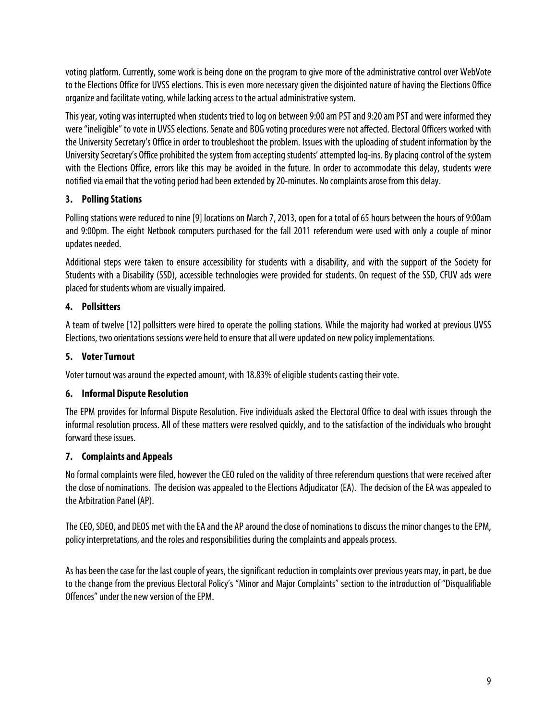voting platform. Currently, some work is being done on the program to give more of the administrative control over WebVote to the Elections Office for UVSS elections. This is even more necessary given the disjointed nature of having the Elections Office organize and facilitate voting, while lacking access to the actual administrative system.

This year, voting was interrupted when students tried to log on between 9:00 am PST and 9:20 am PST and were informed they were "ineligible" to vote in UVSS elections. Senate and BOG voting procedures were not affected. Electoral Officers worked with the University Secretary's Office in order to troubleshoot the problem. Issues with the uploading of student information by the University Secretary's Office prohibited the system from accepting students' attempted log-ins. By placing control of the system with the Elections Office, errors like this may be avoided in the future. In order to accommodate this delay, students were notified via email that the voting period had been extended by 20-minutes. No complaints arose from this delay.

### **3. Polling Stations**

Polling stations were reduced to nine [9] locations on March 7, 2013, open for a total of 65 hours between the hours of 9:00am and 9:00pm. The eight Netbook computers purchased for the fall 2011 referendum were used with only a couple of minor updates needed.

Additional steps were taken to ensure accessibility for students with a disability, and with the support of the Society for Students with a Disability (SSD), accessible technologies were provided for students. On request of the SSD, CFUV ads were placed for students whom are visually impaired.

## **4. Pollsitters**

A team of twelve [12] pollsitters were hired to operate the polling stations. While the majority had worked at previous UVSS Elections, two orientations sessions were held to ensure that all were updated on new policy implementations.

### **5. Voter Turnout**

Voter turnout was around the expected amount, with 18.83% of eligible students casting their vote.

#### **6. Informal Dispute Resolution**

The EPM provides for Informal Dispute Resolution. Five individuals asked the Electoral Office to deal with issues through the informal resolution process. All of these matters were resolved quickly, and to the satisfaction of the individuals who brought forward these issues.

## **7. Complaints and Appeals**

No formal complaints were filed, however the CEO ruled on the validity of three referendum questions that were received after the close of nominations. The decision was appealed to the Elections Adjudicator (EA). The decision of the EA was appealed to the Arbitration Panel (AP).

The CEO, SDEO, and DEOS met with the EA and the AP around the close of nominations to discuss the minor changes to the EPM, policy interpretations, and the roles and responsibilities during the complaints and appeals process.

As has been the case for the last couple of years, the significant reduction in complaints over previous years may, in part, be due to the change from the previous Electoral Policy's "Minor and Major Complaints" section to the introduction of "Disqualifiable Offences" under the new version of the EPM.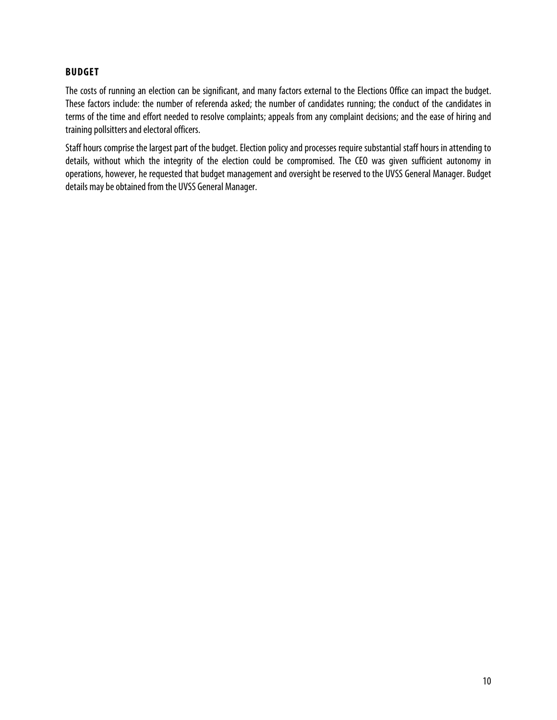#### **BUDGET**

The costs of running an election can be significant, and many factors external to the Elections Office can impact the budget. These factors include: the number of referenda asked; the number of candidates running; the conduct of the candidates in terms of the time and effort needed to resolve complaints; appeals from any complaint decisions; and the ease of hiring and training pollsitters and electoral officers.

Staff hours comprise the largest part of the budget. Election policy and processes require substantial staff hours in attending to details, without which the integrity of the election could be compromised. The CEO was given sufficient autonomy in operations, however, he requested that budget management and oversight be reserved to the UVSS General Manager. Budget details may be obtained from the UVSS General Manager.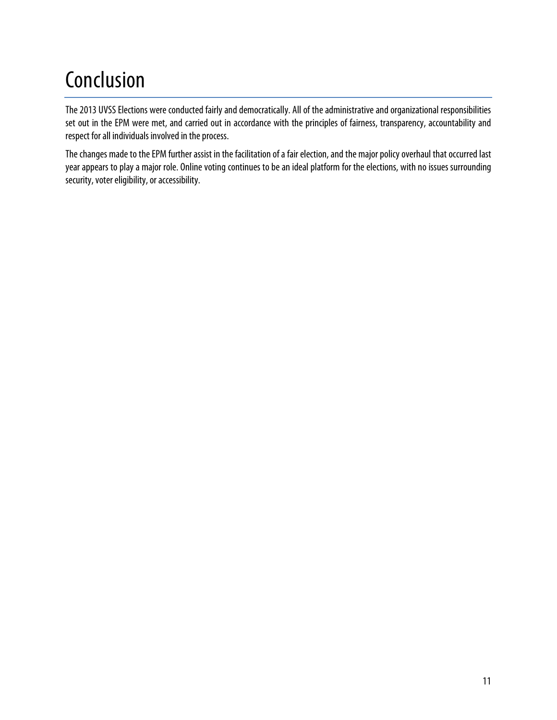## Conclusion

The 2013 UVSS Elections were conducted fairly and democratically. All of the administrative and organizational responsibilities set out in the EPM were met, and carried out in accordance with the principles of fairness, transparency, accountability and respect for all individuals involved in the process.

The changes made to the EPM further assist in the facilitation of a fair election, and the major policy overhaul that occurred last year appears to play a major role. Online voting continues tobe an ideal platform for the elections, with no issues surrounding security, voter eligibility, or accessibility.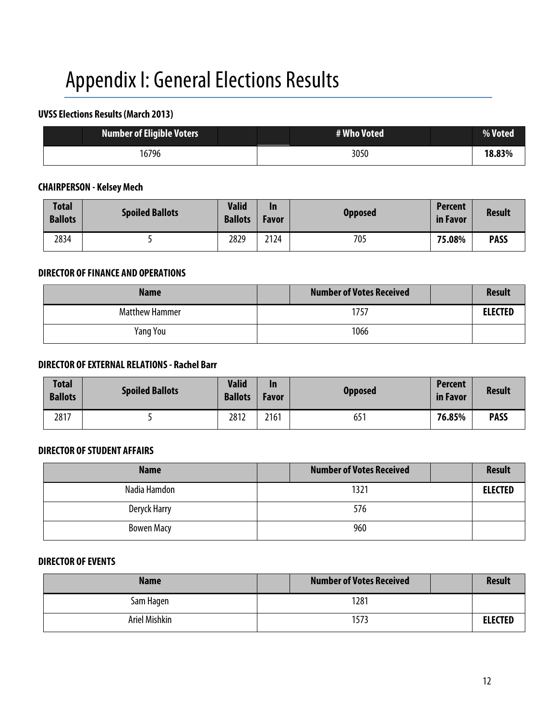## Appendix I: General Elections Results

## **UVSS Elections Results (March 2013)**

| <b>Number of Eligible Voters</b> | # Who Voted | <b>Woted</b> |
|----------------------------------|-------------|--------------|
| 16796                            | 3050        | 18.83%       |

## **CHAIRPERSON - Kelsey Mech**

| <b>Total</b><br><b>Ballots</b> | <b>Spoiled Ballots</b> | <b>Valid</b><br><b>Ballots</b> | In<br>Favor | <b>Opposed</b> | <b>Percent</b><br>in Favor | <b>Result</b> |
|--------------------------------|------------------------|--------------------------------|-------------|----------------|----------------------------|---------------|
| 2834                           |                        | 2829                           | 2124        | 705            | 75.08%                     | <b>PASS</b>   |

#### **DIRECTOR OF FINANCE AND OPERATIONS**

| <b>Name</b>           | <b>Number of Votes Received</b> | <b>Result</b>  |
|-----------------------|---------------------------------|----------------|
| <b>Matthew Hammer</b> | 1757                            | <b>ELECTED</b> |
| Yang You              | 1066                            |                |

#### **DIRECTOR OF EXTERNAL RELATIONS - Rachel Barr**

| <b>Total</b><br><b>Ballots</b> | <b>Spoiled Ballots</b> | <b>Valid</b><br><b>Ballots</b> | In<br>Favor | <b>Opposed</b> | <b>Percent</b><br>in Favor | <b>Result</b> |
|--------------------------------|------------------------|--------------------------------|-------------|----------------|----------------------------|---------------|
| 2817                           |                        | 2812                           | 2161        | 651            | 76.85%                     | <b>PASS</b>   |

#### **DIRECTOR OF STUDENT AFFAIRS**

| <b>Name</b>       | <b>Number of Votes Received</b> | <b>Result</b>  |
|-------------------|---------------------------------|----------------|
| Nadia Hamdon      | 1321                            | <b>ELECTED</b> |
| Deryck Harry      | 576                             |                |
| <b>Bowen Macy</b> | 960                             |                |

### **DIRECTOR OF EVENTS**

| <b>Name</b>   | <b>Number of Votes Received</b> | <b>Result</b>  |
|---------------|---------------------------------|----------------|
| Sam Hagen     | 1281                            |                |
| Ariel Mishkin | 1573                            | <b>ELECTED</b> |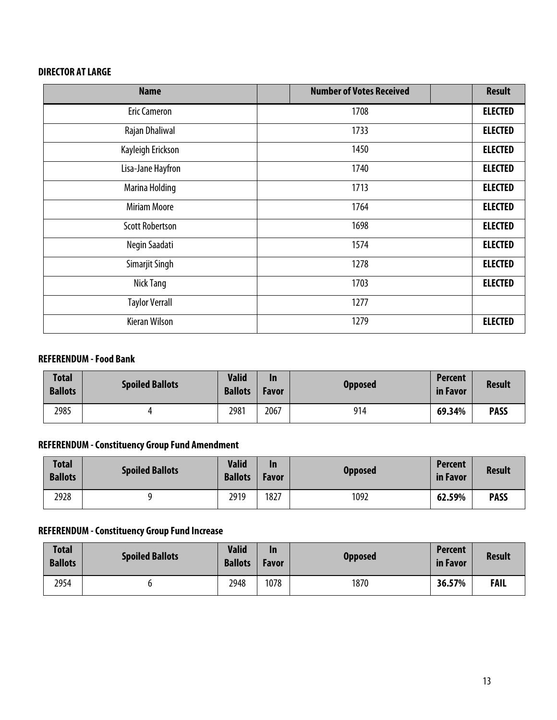## **DIRECTOR AT LARGE**

| <b>Name</b>            | <b>Number of Votes Received</b> | <b>Result</b>  |
|------------------------|---------------------------------|----------------|
| <b>Eric Cameron</b>    | 1708                            | <b>ELECTED</b> |
| Rajan Dhaliwal         | 1733                            | <b>ELECTED</b> |
| Kayleigh Erickson      | 1450                            | <b>ELECTED</b> |
| Lisa-Jane Hayfron      | 1740                            | <b>ELECTED</b> |
| Marina Holding         | 1713                            | <b>ELECTED</b> |
| <b>Miriam Moore</b>    | 1764                            | <b>ELECTED</b> |
| <b>Scott Robertson</b> | 1698                            | <b>ELECTED</b> |
| Negin Saadati          | 1574                            | <b>ELECTED</b> |
| Simarjit Singh         | 1278                            | <b>ELECTED</b> |
| Nick Tang              | 1703                            | <b>ELECTED</b> |
| <b>Taylor Verrall</b>  | 1277                            |                |
| <b>Kieran Wilson</b>   | 1279                            | <b>ELECTED</b> |

#### **REFERENDUM -Food Bank**

| <b>Total</b><br><b>Ballots</b> | <b>Spoiled Ballots</b> | <b>Valid</b><br><b>Ballots</b> | In<br>Favor | <b>Opposed</b> | <b>Percent</b><br>in Favor | <b>Result</b> |
|--------------------------------|------------------------|--------------------------------|-------------|----------------|----------------------------|---------------|
| 2985                           |                        | 2981                           | 2067        | 914            | 69.34%                     | <b>PASS</b>   |

### **REFERENDUM -Constituency Group Fund Amendment**

| <b>Total</b><br><b>Ballots</b> | <b>Spoiled Ballots</b> | <b>Valid</b><br><b>Ballots</b> | In<br>Favor | <b>Opposed</b> | <b>Percent</b><br>in Favor | <b>Result</b> |
|--------------------------------|------------------------|--------------------------------|-------------|----------------|----------------------------|---------------|
| 2928                           |                        | 2919                           | 1827        | 1092           | 62.59%                     | <b>PASS</b>   |

## **REFERENDUM -Constituency Group Fund Increase**

| <b>Total</b><br><b>Ballots</b> | <b>Spoiled Ballots</b> | <b>Valid</b><br><b>Ballots</b> | In<br>Favor | <b>Opposed</b> | <b>Percent</b><br>in Favor | <b>Result</b> |
|--------------------------------|------------------------|--------------------------------|-------------|----------------|----------------------------|---------------|
| 2954                           |                        | 2948                           | 1078        | 1870           | 36.57%                     | <b>FAIL</b>   |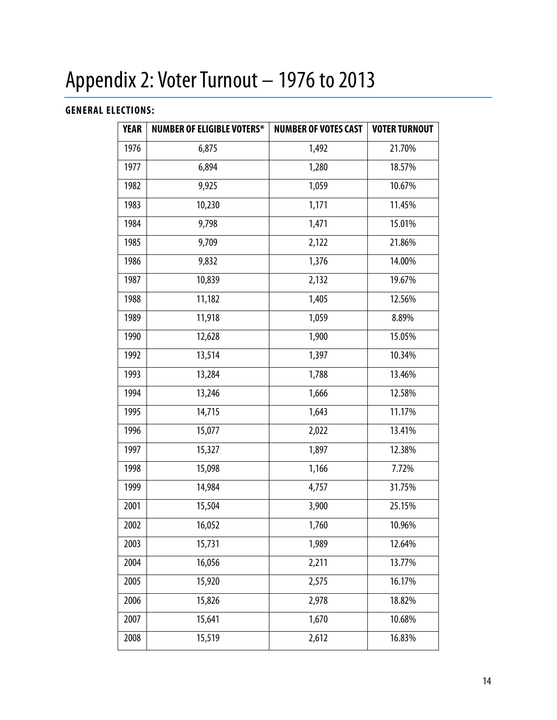# Appendix 2: Voter Turnout – 1976 to 2013

## **GENERAL ELECTIONS:**

| <b>YEAR</b> | <b>NUMBER OF ELIGIBLE VOTERS*</b> | <b>NUMBER OF VOTES CAST</b> | <b>VOTER TURNOUT</b> |
|-------------|-----------------------------------|-----------------------------|----------------------|
| 1976        | 6,875                             | 1,492                       | 21.70%               |
| 1977        | 6,894                             | 1,280                       | 18.57%               |
| 1982        | 9,925                             | 1,059                       | 10.67%               |
| 1983        | 10,230                            | 1,171                       | 11.45%               |
| 1984        | 9,798                             | 1,471                       | 15.01%               |
| 1985        | 9,709                             | 2,122                       | 21.86%               |
| 1986        | 9,832                             | 1,376                       | 14.00%               |
| 1987        | 10,839                            | 2,132                       | 19.67%               |
| 1988        | 11,182                            | 1,405                       | 12.56%               |
| 1989        | 11,918                            | 1,059                       | 8.89%                |
| 1990        | 12,628                            | 1,900                       | 15.05%               |
| 1992        | 13,514                            | 1,397                       | 10.34%               |
| 1993        | 13,284                            | 1,788                       | 13.46%               |
| 1994        | 13,246                            | 1,666                       | 12.58%               |
| 1995        | 14,715                            | 1,643                       | 11.17%               |
| 1996        | 15,077                            | 2,022                       | 13.41%               |
| 1997        | 15,327                            | 1,897                       | 12.38%               |
| 1998        | 15,098                            | 1,166                       | 7.72%                |
| 1999        | 14,984                            | 4,757                       | 31.75%               |
| 2001        | 15,504                            | 3,900                       | 25.15%               |
| 2002        | 16,052                            | 1,760                       | 10.96%               |
| 2003        | 15,731                            | 1,989                       | 12.64%               |
| 2004        | 16,056                            | 2,211                       | 13.77%               |
| 2005        | 15,920                            | 2,575                       | 16.17%               |
| 2006        | 15,826                            | 2,978                       | 18.82%               |
| 2007        | 15,641                            | 1,670                       | 10.68%               |
| 2008        | 15,519                            | 2,612                       | 16.83%               |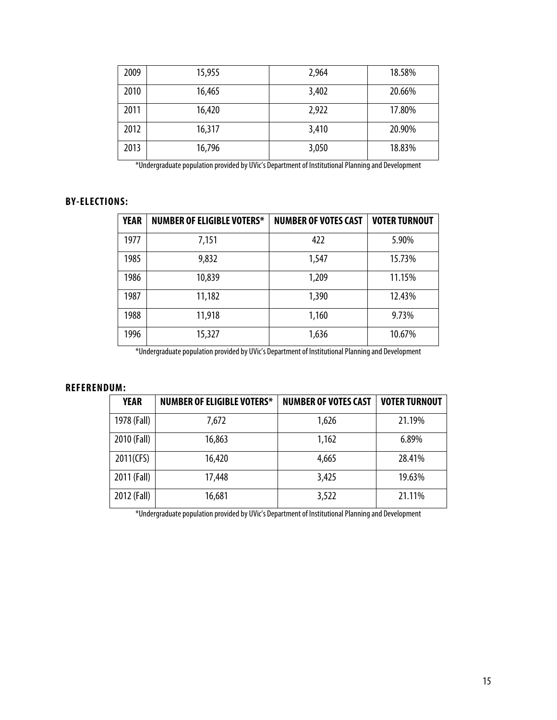| 2009 | 15,955 | 2,964 | 18.58% |
|------|--------|-------|--------|
| 2010 | 16,465 | 3,402 | 20.66% |
| 2011 | 16,420 | 2,922 | 17.80% |
| 2012 | 16,317 | 3,410 | 20.90% |
| 2013 | 16,796 | 3,050 | 18.83% |

\*Undergraduate population provided by UVic's Department of Institutional Planning and Development

## **BY-ELECTIONS:**

| <b>YEAR</b> | <b>NUMBER OF ELIGIBLE VOTERS*</b> | <b>NUMBER OF VOTES CAST</b> | <b>VOTER TURNOUT</b> |
|-------------|-----------------------------------|-----------------------------|----------------------|
| 1977        | 7,151                             | 422                         | 5.90%                |
| 1985        | 9,832                             | 1,547                       | 15.73%               |
| 1986        | 10,839                            | 1,209                       | 11.15%               |
| 1987        | 11,182                            | 1,390                       | 12.43%               |
| 1988        | 11,918                            | 1,160                       | 9.73%                |
| 1996        | 15,327                            | 1,636                       | 10.67%               |

\*Undergraduate population provided by UVic's Department of Institutional Planning and Development

#### **REFERENDUM:**

| <b>YEAR</b> | <b>NUMBER OF ELIGIBLE VOTERS*</b> | <b>NUMBER OF VOTES CAST</b> | <b>VOTER TURNOUT</b> |
|-------------|-----------------------------------|-----------------------------|----------------------|
| 1978 (Fall) | 7,672                             | 1,626                       | 21.19%               |
| 2010 (Fall) | 16,863                            | 1,162                       | 6.89%                |
| 2011(CFS)   | 16,420                            | 4,665                       | 28.41%               |
| 2011 (Fall) | 17,448                            | 3,425                       | 19.63%               |
| 2012 (Fall) | 16,681                            | 3,522                       | 21.11%               |

\*Undergraduate population provided by UVic's Department of Institutional Planning and Development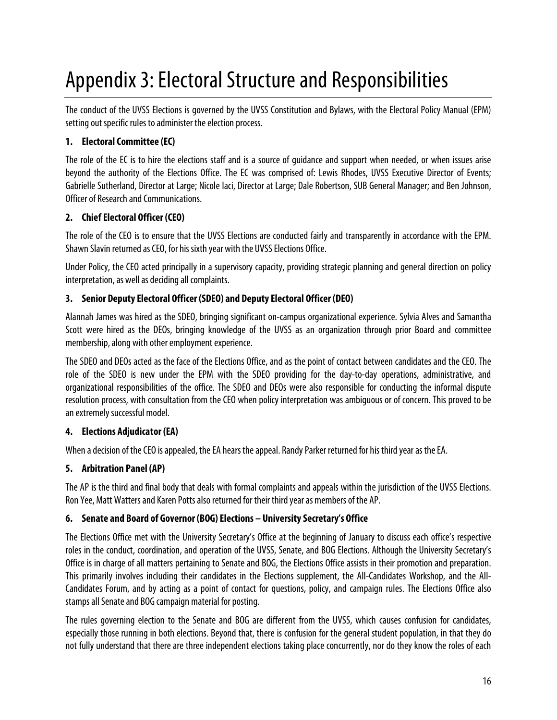## Appendix 3: Electoral Structure and Responsibilities

The conduct of the UVSS Elections is governed by the UVSS Constitution and Bylaws, with the Electoral Policy Manual (EPM) setting out specific rules to administer the election process.

## **1. Electoral Committee (EC)**

The role of the EC is to hire the elections staff and is a source of guidance and support when needed, or when issues arise beyond the authority of the Elections Office. The EC was comprised of: Lewis Rhodes, UVSS Executive Director of Events; Gabrielle Sutherland, Director at Large; Nicole Iaci, Director at Large; Dale Robertson, SUB General Manager; and Ben Johnson, Officer of Research and Communications.

## **2. Chief Electoral Officer (CEO)**

The role of the CEO is to ensure that the UVSS Elections are conducted fairly and transparently in accordance with the EPM. Shawn Slavin returned as CEO, for his sixth year with the UVSS Elections Office.

Under Policy, the CEO acted principally in a supervisory capacity, providing strategic planning and general direction on policy interpretation, as well as deciding all complaints.

## **3. Senior Deputy Electoral Officer (SDEO) and Deputy Electoral Officer (DEO)**

Alannah James was hired as the SDEO, bringing significant on-campus organizational experience. Sylvia Alves and Samantha Scott were hired as the DEOs, bringing knowledge of the UVSS as an organization through prior Board and committee membership, along with other employment experience.

The SDEO and DEOs acted as the face of the Elections Office, and as the point of contact between candidates and the CEO. The role of the SDEO is new under the EPM with the SDEO providing for the day-to-day operations, administrative, and organizational responsibilities of the office. The SDEO and DEOs were also responsible for conducting the informal dispute resolution process, with consultation from the CEO when policy interpretation was ambiguous or of concern. This proved to be an extremely successful model.

## **4. Elections Adjudicator (EA)**

When a decision of the CEO is appealed, the EA hears the appeal. Randy Parker returned for his third year as the EA.

## **5. Arbitration Panel (AP)**

The AP is the third and final body that deals with formal complaints and appeals within the jurisdiction of the UVSS Elections. Ron Yee, Matt Watters and Karen Potts also returned for their third year as members of the AP.

## **6. Senate and Board of Governor (BOG) Elections – University Secretary's Office**

The Elections Office met with the University Secretary's Office at the beginning of January to discuss each office's respective roles in the conduct, coordination, and operation of the UVSS, Senate, and BOG Elections. Although the University Secretary's Office is in charge of all matters pertaining to Senate and BOG, the Elections Office assists in their promotion and preparation. This primarily involves including their candidates in the Elections supplement, the All-Candidates Workshop, and the All-Candidates Forum, and by acting as a point of contact for questions, policy, and campaign rules. The Elections Office also stamps all Senate and BOG campaign material for posting.

The rules governing election to the Senate and BOG are different from the UVSS, which causes confusion for candidates, especially those running in both elections. Beyond that, there is confusion for the general student population, in that they do not fully understand that there are three independent elections taking place concurrently, nor do they know the roles of each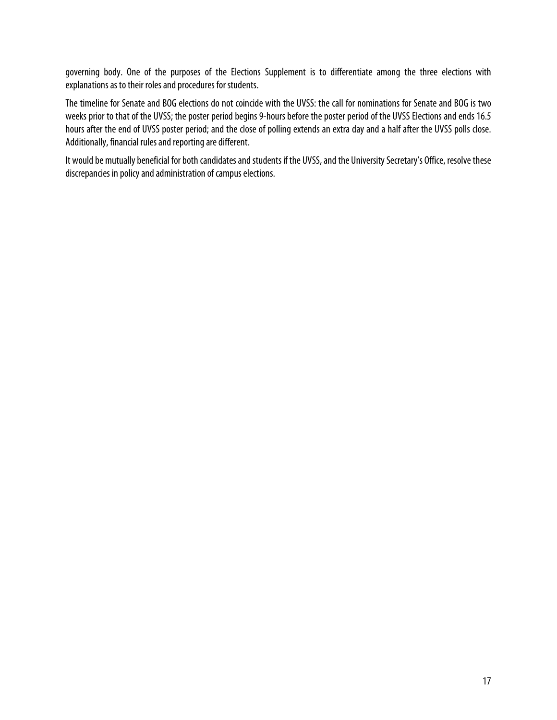governing body. One of the purposes of the Elections Supplement is to differentiate among the three elections with explanations as to their roles and procedures for students.

The timeline for Senate and BOG elections do not coincide with the UVSS: the call for nominations for Senate and BOG is two weeks prior to that of the UVSS; the poster period begins 9-hours before the poster period of the UVSS Elections and ends 16.5 hours after the end of UVSS poster period; and the close of polling extends an extra day and a half after the UVSS polls close. Additionally, financial rules and reporting are different.

It would be mutually beneficial for both candidates and students if the UVSS, and the University Secretary's Office, resolve these discrepancies in policy and administration of campus elections.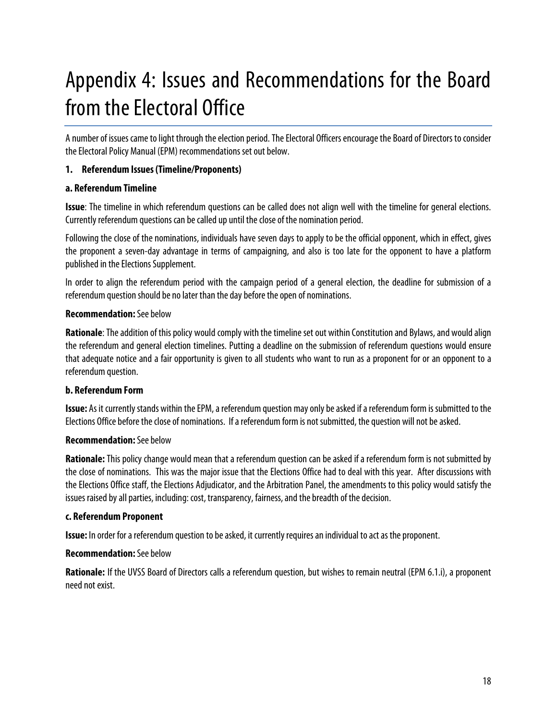# Appendix 4: Issues and Recommendations for the Board from the Electoral Office

A number of issues came to light through the election period. The Electoral Officers encourage the Board of Directors to consider the Electoral Policy Manual (EPM) recommendations set out below.

#### **1. Referendum Issues (Timeline/Proponents)**

#### **a. Referendum Timeline**

**Issue**: The timeline in which referendum questions can be called does not align well with the timeline for general elections. Currently referendum questions can be called up until the close of the nomination period.

Following the close of the nominations, individuals have seven days to apply to be the official opponent, which in effect, gives the proponent a seven-day advantage in terms of campaigning, and also is too late for the opponent to have a platform published in the Elections Supplement.

In order to align the referendum period with the campaign period of a general election, the deadline for submission of a referendum question should be no later than the day before the open of nominations.

#### **Recommendation:**See below

**Rationale**: The addition of this policy would comply with the timeline set out within Constitution and Bylaws, and would align the referendum and general election timelines. Putting a deadline on the submission of referendum questions would ensure that adequate notice and a fair opportunity is given to all students who want to run as a proponent for or an opponent to a referendum question.

#### **b. Referendum Form**

**Issue:** As it currently stands within the EPM, a referendum question may only be asked if a referendum form is submitted to the Elections Office before the close of nominations. If a referendum form is not submitted, the question will not be asked.

#### **Recommendation:**See below

**Rationale:** This policy change would mean that a referendum question can be asked if a referendum form is not submitted by the close of nominations. This was the major issue that the Elections Office had to deal with this year. After discussions with the Elections Office staff, the Elections Adjudicator, and the Arbitration Panel, the amendments to this policy would satisfy the issues raised by all parties, including: cost, transparency, fairness, and the breadth of the decision.

#### **c. Referendum Proponent**

**Issue:** In order for a referendum question to be asked, it currently requires an individual to act as the proponent.

#### **Recommendation:**See below

**Rationale:** If the UVSS Board of Directors calls a referendum question, but wishes to remain neutral (EPM 6.1.i), a proponent need not exist.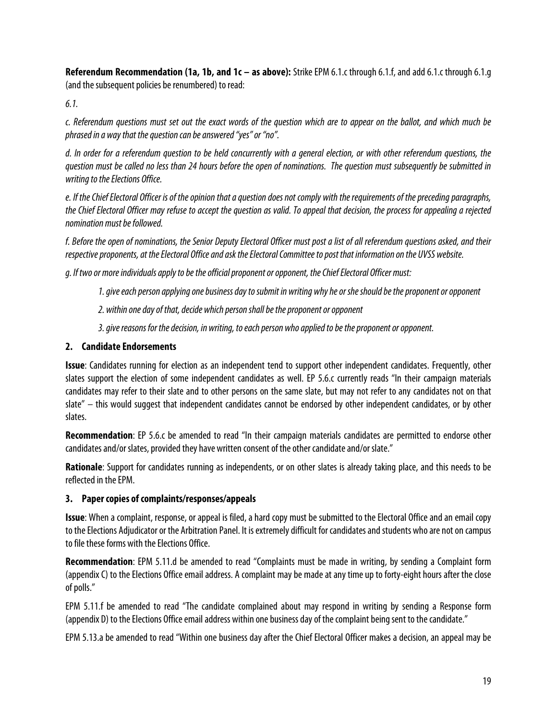**Referendum Recommendation (1a, 1b, and 1c – as above):** Strike EPM 6.1.c through 6.1.f, and add 6.1.c through 6.1.g (and the subsequent policies be renumbered) to read:

*6.1.*

*c. Referendum questions must set out the exact words of the question which are to appear on the ballot, and which much be phrased in a way that the question can be answered "yes" or "no".*

*d. In order for a referendum question to be held concurrently with a general election, or with other referendum questions, the question must be called no less than 24 hours before the open of nominations. The question must subsequently be submitted in writing to the Elections Office.*

*e. If the Chief Electoral Officer is of the opinion that a question does not comply with the requirements of the preceding paragraphs, the Chief Electoral Officer may refuse to accept the question as valid. To appeal that decision, the process for appealing a rejected nomination must be followed.*

*f. Before the open of nominations, the Senior Deputy Electoral Officer must post a list of all referendum questions asked, and their respective proponents, at the Electoral Office and ask the Electoral Committee to post that information on the UVSS website.*

*g. If two or more individuals apply to be the official proponent or opponent, the Chief Electoral Officer must:*

- *1. give each person applying one business day to submit in writing why he or sheshould be the proponent or opponent*
- *2. within one day of that, decide which person shall be the proponent or opponent*
- *3. give reasons for the decision, in writing, to each person who applied to be the proponent or opponent.*

#### **2. Candidate Endorsements**

**Issue**: Candidates running for election as an independent tend to support other independent candidates. Frequently, other slates support the election of some independent candidates as well. EP 5.6.c currently reads "In their campaign materials candidates may refer to their slate and to other persons on the same slate, but may not refer to any candidates not on that slate" – this would suggest that independent candidates cannot be endorsed by other independent candidates, or by other slates.

**Recommendation**: EP 5.6.c be amended to read "In their campaign materials candidates are permitted to endorse other candidates and/or slates, provided they have written consent of the other candidate and/or slate."

**Rationale**: Support for candidates running as independents, or on other slates is already taking place, and this needs to be reflected in the EPM.

#### **3. Paper copies of complaints/responses/appeals**

**Issue**: When a complaint, response, or appeal is filed, a hard copy must be submitted to the Electoral Office and an email copy to the Elections Adjudicator or the Arbitration Panel. It is extremely difficult for candidates and students who are not on campus to file these forms with the Elections Office.

**Recommendation**: EPM 5.11.d be amended to read "Complaints must be made in writing, by sending a Complaint form (appendix C) to the Elections Office email address. A complaint may be made at any time up to forty-eight hours after the close of polls."

EPM 5.11.f be amended to read "The candidate complained about may respond in writing by sending a Response form (appendix D) to the Elections Office email address within one business day of the complaint being sent to the candidate."

EPM 5.13.a be amended to read "Within one business day after the Chief Electoral Officer makes a decision, an appeal may be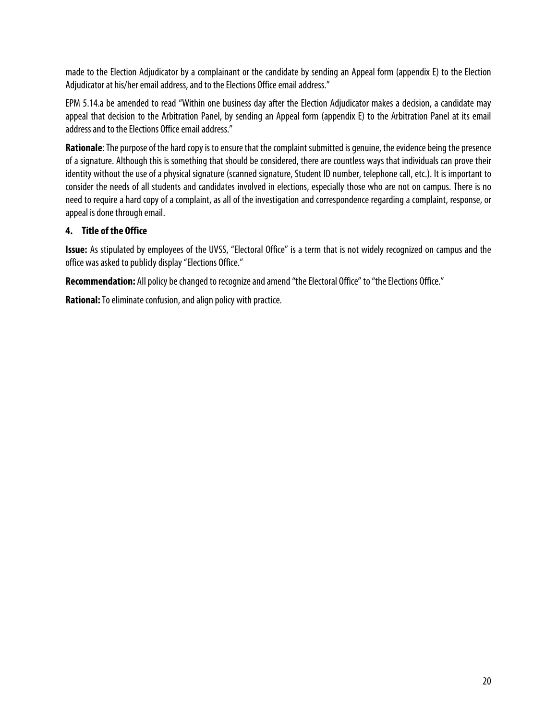made to the Election Adjudicator by a complainant or the candidate by sending an Appeal form (appendix E) to the Election Adjudicator at his/her email address, and to the Elections Office email address."

EPM 5.14.a be amended to read "Within one business day after the Election Adjudicator makes a decision, a candidate may appeal that decision to the Arbitration Panel, by sending an Appeal form (appendix E) to the Arbitration Panel at its email address and to the Elections Office email address."

**Rationale**: The purpose of the hard copy is to ensure that the complaint submitted is genuine, the evidence being the presence of a signature. Although this is something that should be considered, there are countless ways that individuals can prove their identity without the use of a physical signature (scanned signature, Student ID number, telephone call, etc.). It is important to consider the needs of all students and candidates involved in elections, especially those who are not on campus. There is no need to require a hard copy of a complaint, as all of the investigation and correspondence regarding a complaint, response, or appeal is done through email.

#### **4. Title of the Office**

**Issue:** As stipulated by employees of the UVSS, "Electoral Office" is a term that is not widely recognized on campus and the office was asked to publicly display "Elections Office."

**Recommendation:** All policy be changed to recognize and amend "the Electoral Office" to "the Elections Office."

**Rational:** To eliminate confusion, and align policy with practice.